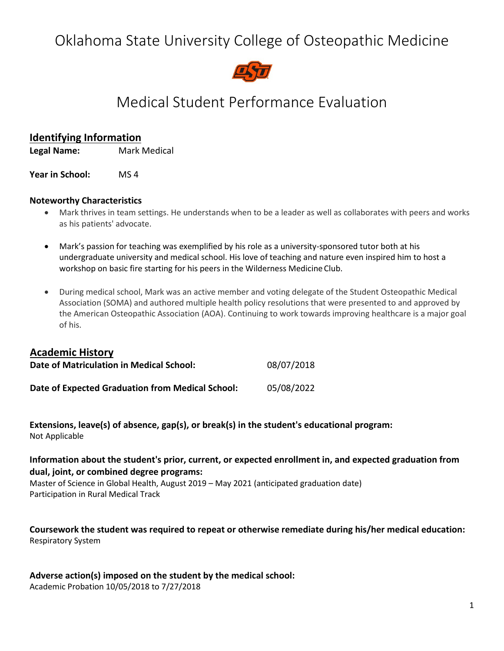# Oklahoma State University College of Osteopathic Medicine



# Medical Student Performance Evaluation

# **Identifying Information**

**Legal Name:** Mark Medical

**Year in School:** MS 4

#### **Noteworthy Characteristics**

- Mark thrives in team settings. He understands when to be a leader as well as collaborates with peers and works as his patients' advocate.
- Mark's passion for teaching was exemplified by his role as a university-sponsored tutor both at his undergraduate university and medical school. His love of teaching and nature even inspired him to host a workshop on basic fire starting for his peers in the Wilderness Medicine Club.
- During medical school, Mark was an active member and voting delegate of the Student Osteopathic Medical Association (SOMA) and authored multiple health policy resolutions that were presented to and approved by the American Osteopathic Association (AOA). Continuing to work towards improving healthcare is a major goal of his.

#### **Academic History**

| Date of Matriculation in Medical School:         | 08/07/2018 |
|--------------------------------------------------|------------|
| Date of Expected Graduation from Medical School: | 05/08/2022 |

**Extensions, leave(s) of absence, gap(s), or break(s) in the student's educational program:** Not Applicable

## **Information about the student's prior, current, or expected enrollment in, and expected graduation from dual, joint, or combined degree programs:**

Master of Science in Global Health, August 2019 – May 2021 (anticipated graduation date) Participation in Rural Medical Track

**Coursework the student was required to repeat or otherwise remediate during his/her medical education:** Respiratory System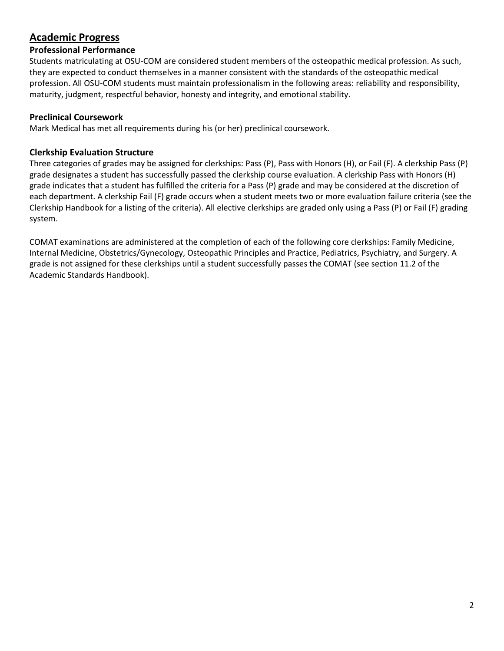# **Academic Progress**

# **Professional Performance**

Students matriculating at OSU-COM are considered student members of the osteopathic medical profession. As such, they are expected to conduct themselves in a manner consistent with the standards of the osteopathic medical profession. All OSU-COM students must maintain professionalism in the following areas: reliability and responsibility, maturity, judgment, respectful behavior, honesty and integrity, and emotional stability.

## **Preclinical Coursework**

Mark Medical has met all requirements during his (or her) preclinical coursework.

## **Clerkship Evaluation Structure**

Three categories of grades may be assigned for clerkships: Pass (P), Pass with Honors (H), or Fail (F). A clerkship Pass (P) grade designates a student has successfully passed the clerkship course evaluation. A clerkship Pass with Honors (H) grade indicates that a student has fulfilled the criteria for a Pass (P) grade and may be considered at the discretion of each department. A clerkship Fail (F) grade occurs when a student meets two or more evaluation failure criteria (see the Clerkship Handbook for a listing of the criteria). All elective clerkships are graded only using a Pass (P) or Fail (F) grading system.

COMAT examinations are administered at the completion of each of the following core clerkships: Family Medicine, Internal Medicine, Obstetrics/Gynecology, Osteopathic Principles and Practice, Pediatrics, Psychiatry, and Surgery. A grade is not assigned for these clerkships until a student successfully passes the COMAT (see section 11.2 of the Academic Standards Handbook).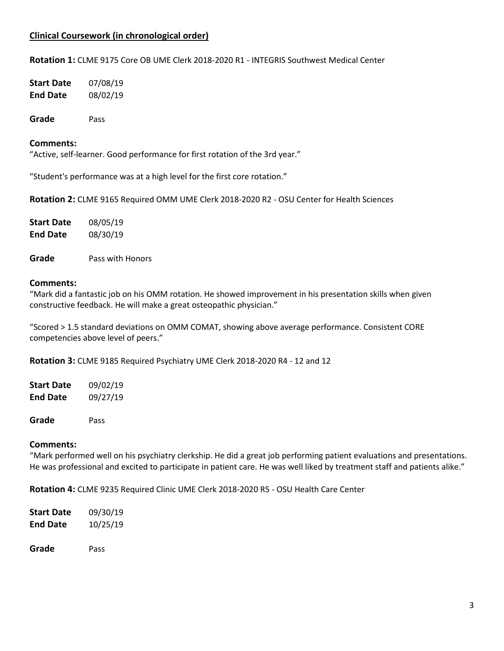## **Clinical Coursework (in chronological order)**

**Rotation 1:** CLME 9175 Core OB UME Clerk 2018-2020 R1 - INTEGRIS Southwest Medical Center

| Start Date | 07/08/19 |
|------------|----------|
| End Date   | 08/02/19 |

**Grade** Pass

#### **Comments:**

"Active, self-learner. Good performance for first rotation of the 3rd year."

"Student's performance was at a high level for the first core rotation."

**Rotation 2:** CLME 9165 Required OMM UME Clerk 2018-2020 R2 - OSU Center for Health Sciences

| Start Date      | 08/05/19 |
|-----------------|----------|
| <b>End Date</b> | 08/30/19 |

**Grade** Pass with Honors

#### **Comments:**

"Mark did a fantastic job on his OMM rotation. He showed improvement in his presentation skills when given constructive feedback. He will make a great osteopathic physician."

"Scored > 1.5 standard deviations on OMM COMAT, showing above average performance. Consistent CORE competencies above level of peers."

**Rotation 3:** CLME 9185 Required Psychiatry UME Clerk 2018-2020 R4 - 12 and 12

**Start Date** 09/02/19 **End Date** 09/27/19

**Grade** Pass

#### **Comments:**

"Mark performed well on his psychiatry clerkship. He did a great job performing patient evaluations and presentations. He was professional and excited to participate in patient care. He was well liked by treatment staff and patients alike."

**Rotation 4:** CLME 9235 Required Clinic UME Clerk 2018-2020 R5 - OSU Health Care Center

| <b>Start Date</b> | 09/30/19 |
|-------------------|----------|
| <b>End Date</b>   | 10/25/19 |
|                   |          |

**Grade** Pass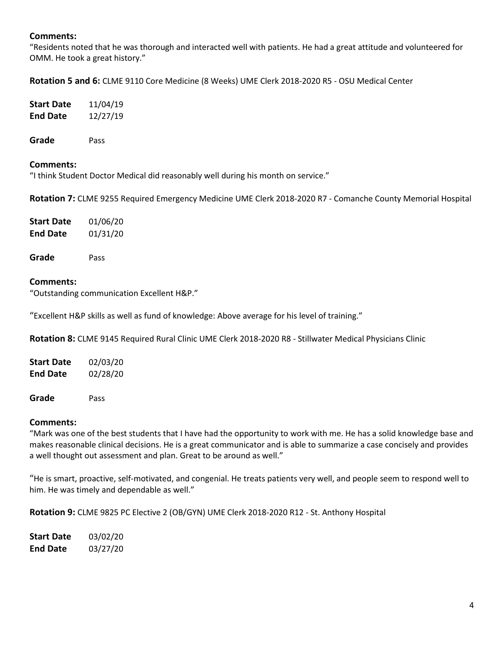### **Comments:**

"Residents noted that he was thorough and interacted well with patients. He had a great attitude and volunteered for OMM. He took a great history."

**Rotation 5 and 6:** CLME 9110 Core Medicine (8 Weeks) UME Clerk 2018-2020 R5 - OSU Medical Center

| 11/04/19 |
|----------|
| 12/27/19 |
|          |

**Grade** Pass

#### **Comments:**

"I think Student Doctor Medical did reasonably well during his month on service."

**Rotation 7:** CLME 9255 Required Emergency Medicine UME Clerk 2018-2020 R7 - Comanche County Memorial Hospital

| Start Date      | 01/06/20 |
|-----------------|----------|
| <b>End Date</b> | 01/31/20 |

**Grade** Pass

#### **Comments:**

"Outstanding communication Excellent H&P."

"Excellent H&P skills as well as fund of knowledge: Above average for his level of training."

**Rotation 8:** CLME 9145 Required Rural Clinic UME Clerk 2018-2020 R8 - Stillwater Medical Physicians Clinic

| Start Date      | 02/03/20 |
|-----------------|----------|
| <b>End Date</b> | 02/28/20 |
|                 |          |

**Grade** Pass

#### **Comments:**

"Mark was one of the best students that I have had the opportunity to work with me. He has a solid knowledge base and makes reasonable clinical decisions. He is a great communicator and is able to summarize a case concisely and provides a well thought out assessment and plan. Great to be around as well."

"He is smart, proactive, self-motivated, and congenial. He treats patients very well, and people seem to respond well to him. He was timely and dependable as well."

**Rotation 9:** CLME 9825 PC Elective 2 (OB/GYN) UME Clerk 2018-2020 R12 - St. Anthony Hospital

| Start Date      | 03/02/20 |
|-----------------|----------|
| <b>End Date</b> | 03/27/20 |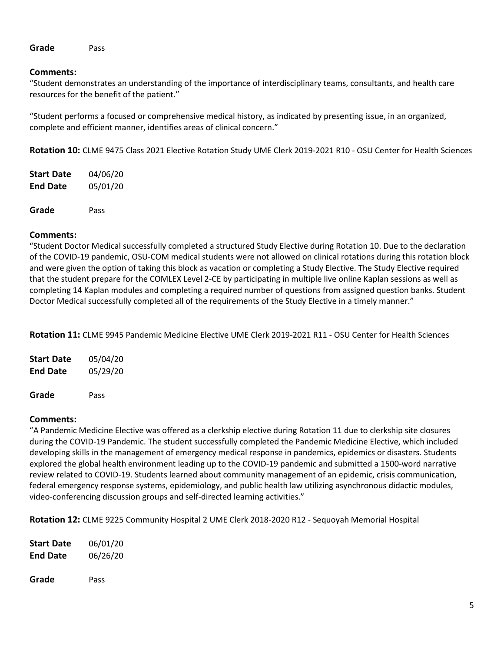#### **Grade** Pass

#### **Comments:**

"Student demonstrates an understanding of the importance of interdisciplinary teams, consultants, and health care resources for the benefit of the patient."

"Student performs a focused or comprehensive medical history, as indicated by presenting issue, in an organized, complete and efficient manner, identifies areas of clinical concern."

**Rotation 10:** CLME 9475 Class 2021 Elective Rotation Study UME Clerk 2019-2021 R10 - OSU Center for Health Sciences

| <b>Start Date</b> | 04/06/20 |
|-------------------|----------|
| <b>End Date</b>   | 05/01/20 |
| Grade             | Pass     |

#### **Comments:**

"Student Doctor Medical successfully completed a structured Study Elective during Rotation 10. Due to the declaration of the COVID-19 pandemic, OSU-COM medical students were not allowed on clinical rotations during this rotation block and were given the option of taking this block as vacation or completing a Study Elective. The Study Elective required that the student prepare for the COMLEX Level 2-CE by participating in multiple live online Kaplan sessions as well as completing 14 Kaplan modules and completing a required number of questions from assigned question banks. Student Doctor Medical successfully completed all of the requirements of the Study Elective in a timely manner."

**Rotation 11:** CLME 9945 Pandemic Medicine Elective UME Clerk 2019-2021 R11 - OSU Center for Health Sciences

| Start Date      | 05/04/20 |
|-----------------|----------|
| <b>End Date</b> | 05/29/20 |
|                 |          |

**Grade** Pass

## **Comments:**

"A Pandemic Medicine Elective was offered as a clerkship elective during Rotation 11 due to clerkship site closures during the COVID-19 Pandemic. The student successfully completed the Pandemic Medicine Elective, which included developing skills in the management of emergency medical response in pandemics, epidemics or disasters. Students explored the global health environment leading up to the COVID-19 pandemic and submitted a 1500-word narrative review related to COVID-19. Students learned about community management of an epidemic, crisis communication, federal emergency response systems, epidemiology, and public health law utilizing asynchronous didactic modules, video-conferencing discussion groups and self-directed learning activities."

**Rotation 12:** CLME 9225 Community Hospital 2 UME Clerk 2018-2020 R12 - Sequoyah Memorial Hospital

| <b>Start Date</b> | 06/01/20 |
|-------------------|----------|
| <b>End Date</b>   | 06/26/20 |
|                   |          |
| Grade             | Pass     |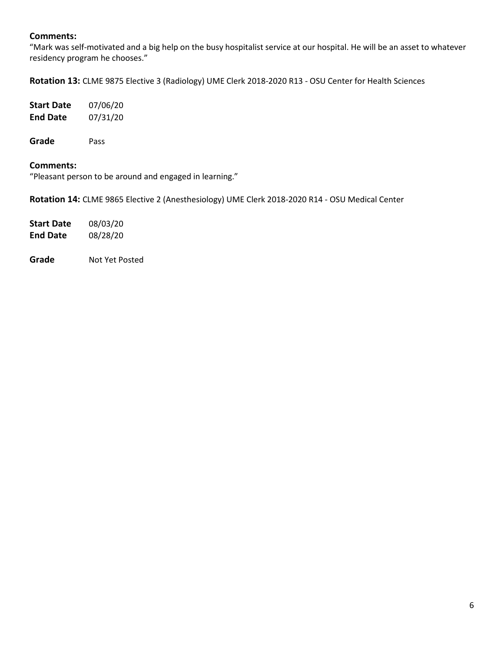## **Comments:**

"Mark was self-motivated and a big help on the busy hospitalist service at our hospital. He will be an asset to whatever residency program he chooses."

**Rotation 13:** CLME 9875 Elective 3 (Radiology) UME Clerk 2018-2020 R13 - OSU Center for Health Sciences

| Start Date | 07/06/20 |
|------------|----------|
| End Date   | 07/31/20 |
|            |          |

**Grade** Pass

#### **Comments:**

"Pleasant person to be around and engaged in learning."

**Rotation 14:** CLME 9865 Elective 2 (Anesthesiology) UME Clerk 2018-2020 R14 - OSU Medical Center

| Start Date      | 08/03/20 |
|-----------------|----------|
| <b>End Date</b> | 08/28/20 |

**Grade** Not Yet Posted